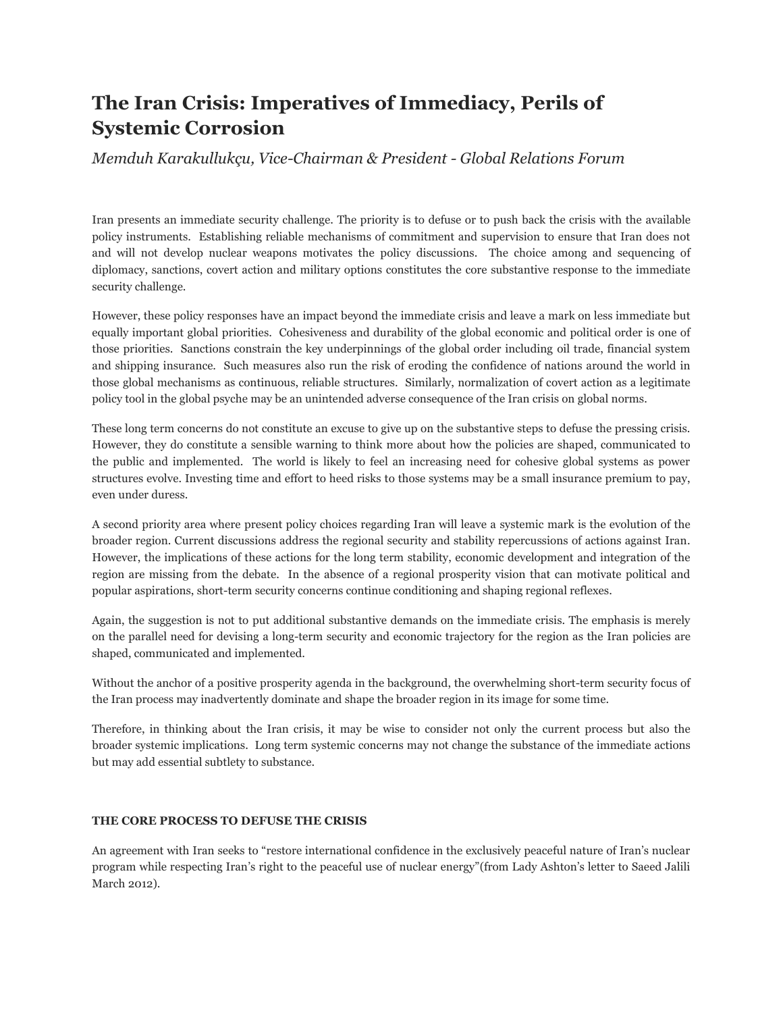# **The Iran Crisis: Imperatives of Immediacy, Perils of Systemic Corrosion**

## *Memduh Karakullukçu, Vice-Chairman & President - Global Relations Forum*

Iran presents an immediate security challenge. The priority is to defuse or to push back the crisis with the available policy instruments. Establishing reliable mechanisms of commitment and supervision to ensure that Iran does not and will not develop nuclear weapons motivates the policy discussions. The choice among and sequencing of diplomacy, sanctions, covert action and military options constitutes the core substantive response to the immediate security challenge.

However, these policy responses have an impact beyond the immediate crisis and leave a mark on less immediate but equally important global priorities. Cohesiveness and durability of the global economic and political order is one of those priorities. Sanctions constrain the key underpinnings of the global order including oil trade, financial system and shipping insurance. Such measures also run the risk of eroding the confidence of nations around the world in those global mechanisms as continuous, reliable structures. Similarly, normalization of covert action as a legitimate policy tool in the global psyche may be an unintended adverse consequence of the Iran crisis on global norms.

These long term concerns do not constitute an excuse to give up on the substantive steps to defuse the pressing crisis. However, they do constitute a sensible warning to think more about how the policies are shaped, communicated to the public and implemented. The world is likely to feel an increasing need for cohesive global systems as power structures evolve. Investing time and effort to heed risks to those systems may be a small insurance premium to pay, even under duress.

A second priority area where present policy choices regarding Iran will leave a systemic mark is the evolution of the broader region. Current discussions address the regional security and stability repercussions of actions against Iran. However, the implications of these actions for the long term stability, economic development and integration of the region are missing from the debate. In the absence of a regional prosperity vision that can motivate political and popular aspirations, short-term security concerns continue conditioning and shaping regional reflexes.

Again, the suggestion is not to put additional substantive demands on the immediate crisis. The emphasis is merely on the parallel need for devising a long-term security and economic trajectory for the region as the Iran policies are shaped, communicated and implemented.

Without the anchor of a positive prosperity agenda in the background, the overwhelming short-term security focus of the Iran process may inadvertently dominate and shape the broader region in its image for some time.

Therefore, in thinking about the Iran crisis, it may be wise to consider not only the current process but also the broader systemic implications. Long term systemic concerns may not change the substance of the immediate actions but may add essential subtlety to substance.

### **THE CORE PROCESS TO DEFUSE THE CRISIS**

An agreement with Iran seeks to "restore international confidence in the exclusively peaceful nature of Iran's nuclear program while respecting Iran's right to the peaceful use of nuclear energy"(from Lady Ashton's letter to Saeed Jalili March 2012).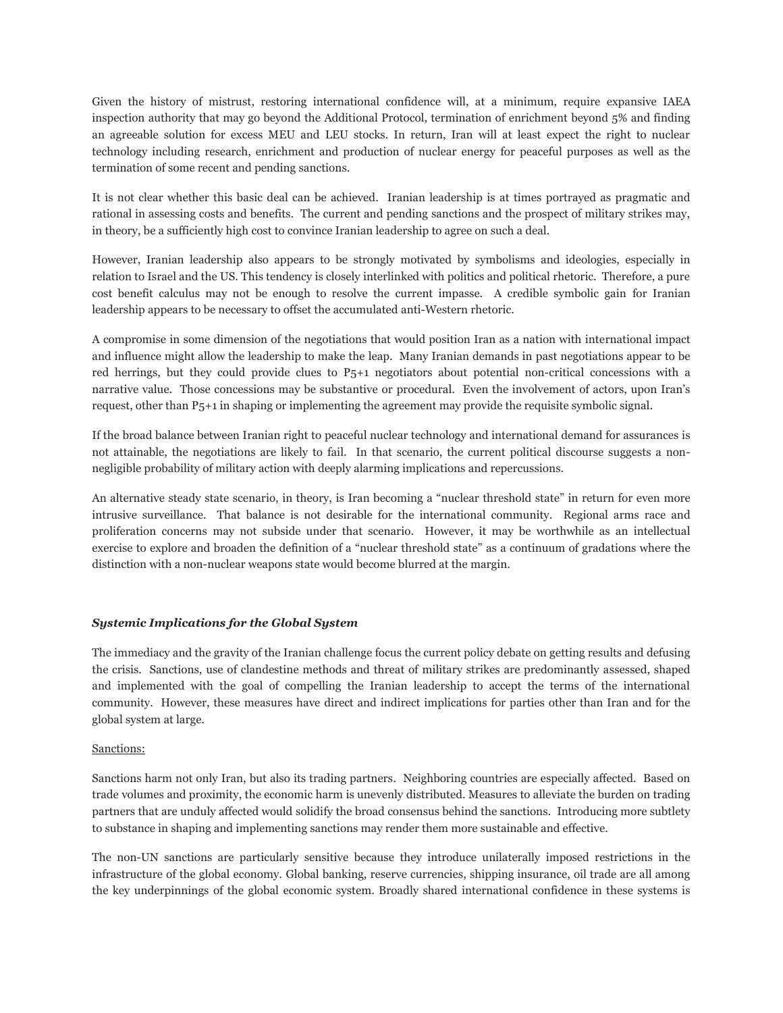Given the history of mistrust, restoring international confidence will, at a minimum, require expansive IAEA inspection authority that may go beyond the Additional Protocol, termination of enrichment beyond 5% and finding an agreeable solution for excess MEU and LEU stocks. In return, Iran will at least expect the right to nuclear technology including research, enrichment and production of nuclear energy for peaceful purposes as well as the termination of some recent and pending sanctions.

It is not clear whether this basic deal can be achieved. Iranian leadership is at times portrayed as pragmatic and rational in assessing costs and benefits. The current and pending sanctions and the prospect of military strikes may, in theory, be a sufficiently high cost to convince Iranian leadership to agree on such a deal.

However, Iranian leadership also appears to be strongly motivated by symbolisms and ideologies, especially in relation to Israel and the US. This tendency is closely interlinked with politics and political rhetoric. Therefore, a pure cost benefit calculus may not be enough to resolve the current impasse. A credible symbolic gain for Iranian leadership appears to be necessary to offset the accumulated anti-Western rhetoric.

A compromise in some dimension of the negotiations that would position Iran as a nation with international impact and influence might allow the leadership to make the leap. Many Iranian demands in past negotiations appear to be red herrings, but they could provide clues to P5+1 negotiators about potential non-critical concessions with a narrative value. Those concessions may be substantive or procedural. Even the involvement of actors, upon Iran's request, other than P5+1 in shaping or implementing the agreement may provide the requisite symbolic signal.

If the broad balance between Iranian right to peaceful nuclear technology and international demand for assurances is not attainable, the negotiations are likely to fail. In that scenario, the current political discourse suggests a nonnegligible probability of military action with deeply alarming implications and repercussions.

An alternative steady state scenario, in theory, is Iran becoming a "nuclear threshold state" in return for even more intrusive surveillance. That balance is not desirable for the international community. Regional arms race and proliferation concerns may not subside under that scenario. However, it may be worthwhile as an intellectual exercise to explore and broaden the definition of a "nuclear threshold state" as a continuum of gradations where the distinction with a non-nuclear weapons state would become blurred at the margin.

#### *Systemic Implications for the Global System*

The immediacy and the gravity of the Iranian challenge focus the current policy debate on getting results and defusing the crisis. Sanctions, use of clandestine methods and threat of military strikes are predominantly assessed, shaped and implemented with the goal of compelling the Iranian leadership to accept the terms of the international community. However, these measures have direct and indirect implications for parties other than Iran and for the global system at large.

#### Sanctions:

Sanctions harm not only Iran, but also its trading partners. Neighboring countries are especially affected. Based on trade volumes and proximity, the economic harm is unevenly distributed. Measures to alleviate the burden on trading partners that are unduly affected would solidify the broad consensus behind the sanctions. Introducing more subtlety to substance in shaping and implementing sanctions may render them more sustainable and effective.

The non-UN sanctions are particularly sensitive because they introduce unilaterally imposed restrictions in the infrastructure of the global economy. Global banking, reserve currencies, shipping insurance, oil trade are all among the key underpinnings of the global economic system. Broadly shared international confidence in these systems is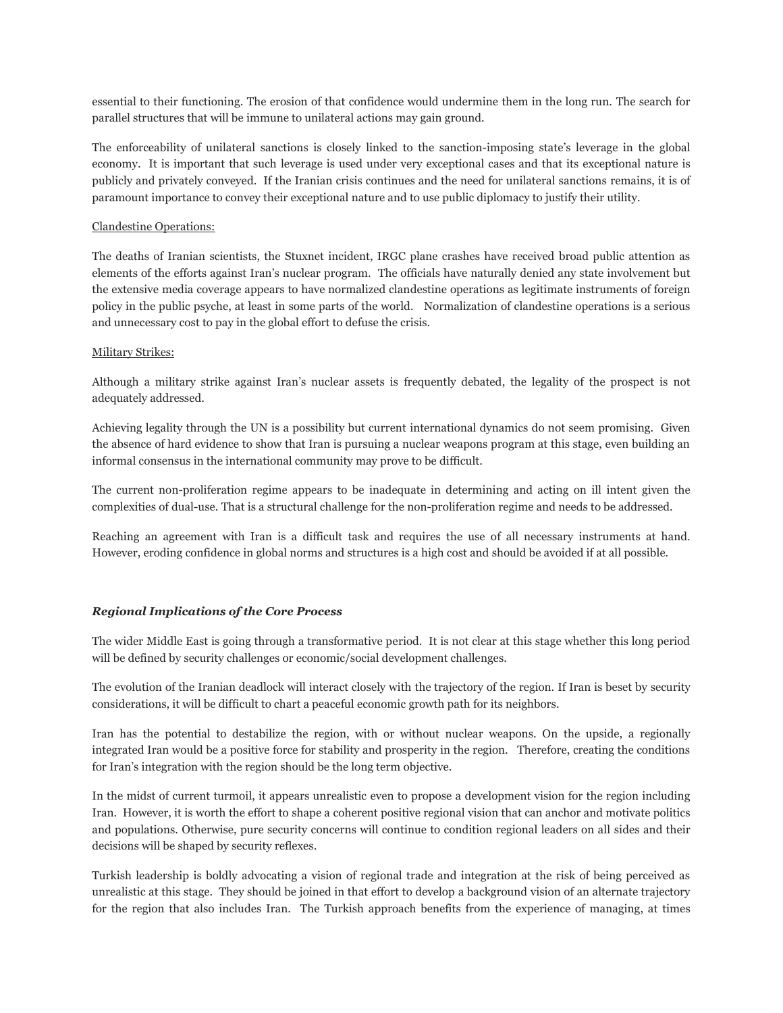essential to their functioning. The erosion of that confidence would undermine them in the long run. The search for parallel structures that will be immune to unilateral actions may gain ground.

The enforceability of unilateral sanctions is closely linked to the sanction-imposing state's leverage in the global economy. It is important that such leverage is used under very exceptional cases and that its exceptional nature is publicly and privately conveyed. If the Iranian crisis continues and the need for unilateral sanctions remains, it is of paramount importance to convey their exceptional nature and to use public diplomacy to justify their utility.

#### Clandestine Operations:

The deaths of Iranian scientists, the Stuxnet incident, IRGC plane crashes have received broad public attention as elements of the efforts against Iran's nuclear program. The officials have naturally denied any state involvement but the extensive media coverage appears to have normalized clandestine operations as legitimate instruments of foreign policy in the public psyche, at least in some parts of the world. Normalization of clandestine operations is a serious and unnecessary cost to pay in the global effort to defuse the crisis.

#### Military Strikes:

Although a military strike against Iran's nuclear assets is frequently debated, the legality of the prospect is not adequately addressed.

Achieving legality through the UN is a possibility but current international dynamics do not seem promising. Given the absence of hard evidence to show that Iran is pursuing a nuclear weapons program at this stage, even building an informal consensus in the international community may prove to be difficult.

The current non-proliferation regime appears to be inadequate in determining and acting on ill intent given the complexities of dual-use. That is a structural challenge for the non-proliferation regime and needs to be addressed.

Reaching an agreement with Iran is a difficult task and requires the use of all necessary instruments at hand. However, eroding confidence in global norms and structures is a high cost and should be avoided if at all possible.

#### *Regional Implications of the Core Process*

The wider Middle East is going through a transformative period. It is not clear at this stage whether this long period will be defined by security challenges or economic/social development challenges.

The evolution of the Iranian deadlock will interact closely with the trajectory of the region. If Iran is beset by security considerations, it will be difficult to chart a peaceful economic growth path for its neighbors.

Iran has the potential to destabilize the region, with or without nuclear weapons. On the upside, a regionally integrated Iran would be a positive force for stability and prosperity in the region. Therefore, creating the conditions for Iran's integration with the region should be the long term objective.

In the midst of current turmoil, it appears unrealistic even to propose a development vision for the region including Iran. However, it is worth the effort to shape a coherent positive regional vision that can anchor and motivate politics and populations. Otherwise, pure security concerns will continue to condition regional leaders on all sides and their decisions will be shaped by security reflexes.

Turkish leadership is boldly advocating a vision of regional trade and integration at the risk of being perceived as unrealistic at this stage. They should be joined in that effort to develop a background vision of an alternate trajectory for the region that also includes Iran. The Turkish approach benefits from the experience of managing, at times